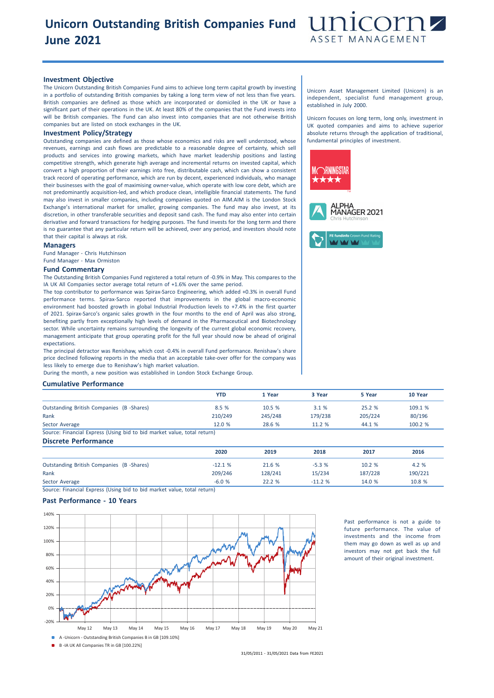# **Unicorn Outstanding British Companies Fund June 2021**



### **Investment Objective**

The Unicorn Outstanding British Companies Fund aims to achieve long term capital growth by investing in a portfolio of outstanding British companies by taking a long term view of not less than five years. British companies are defined as those which are incorporated or domiciled in the UK or have a significant part of their operations in the UK. At least 80% of the companies that the Fund invests into will be British companies. The Fund can also invest into companies that are not otherwise British companies but are listed on stock exchanges in the UK.

## **Investment Policy/Strategy**

Outstanding companies are defined as those whose economics and risks are well understood, whose revenues, earnings and cash flows are predictable to a reasonable degree of certainty, which sell products and services into growing markets, which have market leadership positions and lasting competitive strength, which generate high average and incremental returns on invested capital, which convert a high proportion of their earnings into free, distributable cash, which can show a consistent track record of operating performance, which are run by decent, experienced individuals, who manage their businesses with the goal of maximising owner-value, which operate with low core debt, which are not predominantly acquisition-led, and which produce clean, intelligible financial statements. The fund may also invest in smaller companies, including companies quoted on AIM.AIM is the London Stock Exchange's international market for smaller, growing companies. The fund may also invest, at its discretion, in other transferable securities and deposit sand cash. The fund may also enter into certain derivative and forward transactions for hedging purposes. The fund invests for the long term and there is no guarantee that any particular return will be achieved, over any period, and investors should note that their capital is always at risk.

#### **Managers**

Fund Manager - Chris Hutchinson Fund Manager - Max Ormiston

#### **Fund Commentary**

The Outstanding British Companies Fund registered a total return of -0.9% in May. This compares to the IA UK All Companies sector average total return of +1.6% over the same period.

The top contributor to performance was Spirax-Sarco Engineering, which added +0.3% in overall Fund performance terms. Spirax-Sarco reported that improvements in the global macro-economic environment had boosted growth in global Industrial Production levels to +7.4% in the first quarter of 2021. Spirax-Sarco's organic sales growth in the four months to the end of April was also strong, benefiting partly from exceptionally high levels of demand in the Pharmaceutical and Biotechnology sector. While uncertainty remains surrounding the longevity of the current global economic recovery, management anticipate that group operating profit for the full year should now be ahead of original expectations.

The principal detractor was Renishaw, which cost -0.4% in overall Fund performance. Renishaw's share price declined following reports in the media that an acceptable take-over offer for the company was less likely to emerge due to Renishaw's high market valuation.

During the month, a new position was established in London Stock Exchange Group.

### **Cumulative Performance**

|                                                                         | <b>YTD</b> | 1 Year  | 3 Year  | 5 Year  | 10 Year |
|-------------------------------------------------------------------------|------------|---------|---------|---------|---------|
| Outstanding British Companies (B-Shares)                                | 8.5 %      | 10.5%   | 3.1%    | 25.2%   | 109.1 % |
| Rank                                                                    | 210/249    | 245/248 | 179/238 | 205/224 | 80/196  |
| Sector Average                                                          | 12.0%      | 28.6 %  | 11.2 %  | 44.1 %  | 100.2 % |
| Source: Financial Express (Using bid to bid market value, total return) |            |         |         |         |         |
| <b>Discrete Performance</b>                                             |            |         |         |         |         |
|                                                                         | 2020       | 2019    | 2018    | 2017    | 2016    |
| <b>Outstanding British Companies (B -Shares)</b>                        | $-12.1%$   | 21.6 %  | $-5.3%$ | 10.2 %  | 4.2 %   |

Rank 209/246 128/241 15/234 187/228 190/221 Sector Average -6.0 % 22.2 % -11.2 % 14.0 % 10.8 %

Source: Financial Express (Using bid to bid market value, total return)

## **Past Performance - 10 Years**



Past performance is not a guide to future performance. The value of investments and the income from them may go down as well as up and investors may not get back the full amount of their original investment.

Unicorn Asset Management Limited (Unicorn) is an independent, specialist fund management group, established in July 2000.

Unicorn focuses on long term, long only, investment in UK quoted companies and aims to achieve superior absolute returns through the application of traditional, fundamental principles of investment.



31/05/2011 - 31/05/2021 Data from FE2021